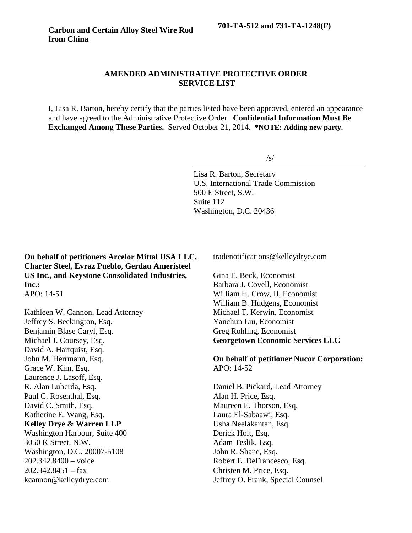## **AMENDED ADMINISTRATIVE PROTECTIVE ORDER SERVICE LIST**

I, Lisa R. Barton, hereby certify that the parties listed have been approved, entered an appearance and have agreed to the Administrative Protective Order. **Confidential Information Must Be Exchanged Among These Parties.** Served October 21, 2014. **\*NOTE: Adding new party.**

 $\sqrt{s}$ 

Lisa R. Barton, Secretary U.S. International Trade Commission 500 E Street, S.W. Suite 112 Washington, D.C. 20436

**On behalf of petitioners Arcelor Mittal USA LLC, Charter Steel, Evraz Pueblo, Gerdau Ameristeel US Inc., and Keystone Consolidated Industries, Inc.:**

APO: 14-51

Kathleen W. Cannon, Lead Attorney Jeffrey S. Beckington, Esq. Benjamin Blase Caryl, Esq. Michael J. Coursey, Esq. David A. Hartquist, Esq. John M. Herrmann, Esq. Grace W. Kim, Esq. Laurence J. Lasoff, Esq. R. Alan Luberda, Esq. Paul C. Rosenthal, Esq. David C. Smith, Esq. Katherine E. Wang, Esq. **Kelley Drye & Warren LLP** Washington Harbour, Suite 400 3050 K Street, N.W. Washington, D.C. 20007-5108 202.342.8400 – voice  $202.342.8451 - fax$ kcannon@kelleydrye.com

tradenotifications@kelleydrye.com

Gina E. Beck, Economist Barbara J. Covell, Economist William H. Crow, II, Economist William B. Hudgens, Economist Michael T. Kerwin, Economist Yanchun Liu, Economist Greg Rohling, Economist **Georgetown Economic Services LLC**

**On behalf of petitioner Nucor Corporation:** APO: 14-52

Daniel B. Pickard, Lead Attorney Alan H. Price, Esq. Maureen E. Thorson, Esq. Laura El-Sabaawi, Esq. Usha Neelakantan, Esq. Derick Holt, Esq. Adam Teslik, Esq. John R. Shane, Esq. Robert E. DeFrancesco, Esq. Christen M. Price, Esq. Jeffrey O. Frank, Special Counsel